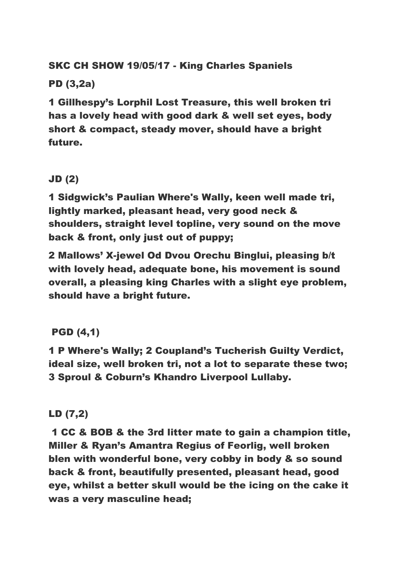# SKC CH SHOW 19/05/17 - King Charles Spaniels

## PD (3,2a)

1 Gillhespy's Lorphil Lost Treasure, this well broken tri has a lovely head with good dark & well set eyes, body short & compact, steady mover, should have a bright future.

# JD (2)

1 Sidgwick's Paulian Where's Wally, keen well made tri, lightly marked, pleasant head, very good neck & shoulders, straight level topline, very sound on the move back & front, only just out of puppy;

2 Mallows' X-jewel Od Dvou Orechu Binglui, pleasing b/t with lovely head, adequate bone, his movement is sound overall, a pleasing king Charles with a slight eye problem, should have a bright future.

# PGD (4,1)

1 P Where's Wally; 2 Coupland's Tucherish Guilty Verdict, ideal size, well broken tri, not a lot to separate these two; 3 Sproul & Coburn's Khandro Liverpool Lullaby.

#### LD (7,2)

1 CC & BOB & the 3rd litter mate to gain a champion title, Miller & Ryan's Amantra Regius of Feorlig, well broken blen with wonderful bone, very cobby in body & so sound back & front, beautifully presented, pleasant head, good eye, whilst a better skull would be the icing on the cake it was a very masculine head;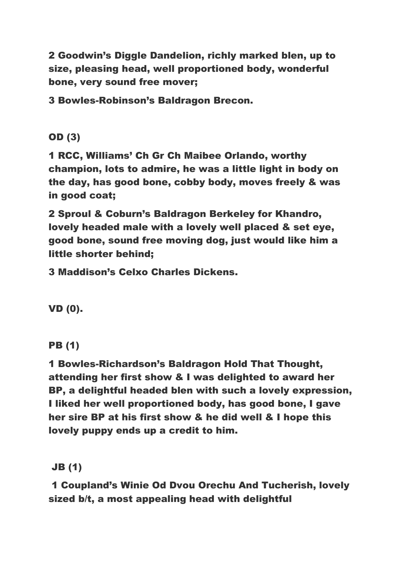2 Goodwin's Diggle Dandelion, richly marked blen, up to size, pleasing head, well proportioned body, wonderful bone, very sound free mover;

3 Bowles-Robinson's Baldragon Brecon.

OD (3)

1 RCC, Williams' Ch Gr Ch Maibee Orlando, worthy champion, lots to admire, he was a little light in body on the day, has good bone, cobby body, moves freely & was in good coat;

2 Sproul & Coburn's Baldragon Berkeley for Khandro, lovely headed male with a lovely well placed & set eye, good bone, sound free moving dog, just would like him a little shorter behind;

3 Maddison's Celxo Charles Dickens.

VD (0).

PB (1)

1 Bowles-Richardson's Baldragon Hold That Thought, attending her first show & I was delighted to award her BP, a delightful headed blen with such a lovely expression, I liked her well proportioned body, has good bone, I gave her sire BP at his first show & he did well & I hope this lovely puppy ends up a credit to him.

JB (1)

1 Coupland's Winie Od Dvou Orechu And Tucherish, lovely sized b/t, a most appealing head with delightful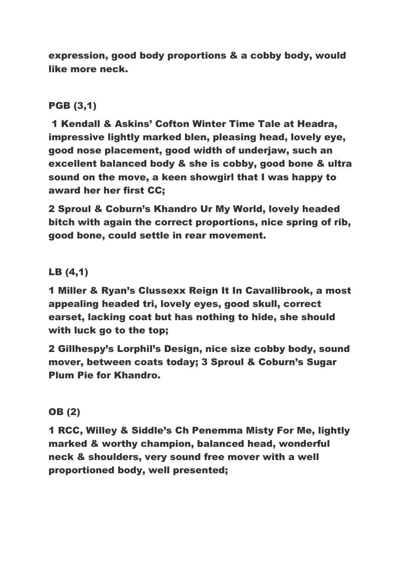expression, good body proportions & a cobby body, would like more neck.

#### PGB (3,1)

1 Kendall & Askins' Cofton Winter Time Tale at Headra, impressive lightly marked blen, pleasing head, lovely eye, good nose placement, good width of underjaw, such an excellent balanced body & she is cobby, good bone & ultra sound on the move, a keen showgirl that I was happy to award her her first CC;

2 Sproul & Coburn's Khandro Ur My World, lovely headed bitch with again the correct proportions, nice spring of rib, good bone, could settle in rear movement.

#### LB (4,1)

1 Miller & Ryan's Clussexx Reign It In Cavallibrook, a most appealing headed tri, lovely eyes, good skull, correct earset, lacking coat but has nothing to hide, she should with luck go to the top;

2 Gillhespy's Lorphil's Design, nice size cobby body, sound mover, between coats today; 3 Sproul & Coburn's Sugar Plum Pie for Khandro.

#### OB (2)

1 RCC, Willey & Siddle's Ch Penemma Misty For Me, lightly marked & worthy champion, balanced head, wonderful neck & shoulders, very sound free mover with a well proportioned body, well presented;